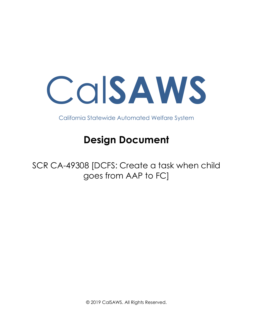Cal**SAWS**

California Statewide Automated Welfare System

# **Design Document**

SCR CA-49308 [DCFS: Create a task when child goes from AAP to FC]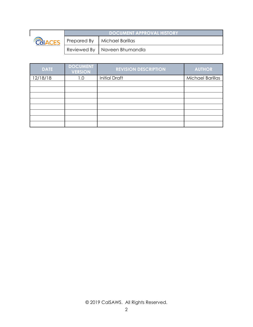

| <b>DOCUMENT APPROVAL HISTORY</b> |                                |  |
|----------------------------------|--------------------------------|--|
|                                  | Prepared By   Michael Barillas |  |
|                                  | Reviewed By   Naveen Bhumandla |  |

| <b>DATE</b> | <b>DOCUMENT</b><br><b>VERSION</b> | <b>REVISION DESCRIPTION</b> | <b>AUTHOR</b>           |
|-------------|-----------------------------------|-----------------------------|-------------------------|
| 12/18/18    | 1.0                               | <b>Initial Draft</b>        | <b>Michael Barillas</b> |
|             |                                   |                             |                         |
|             |                                   |                             |                         |
|             |                                   |                             |                         |
|             |                                   |                             |                         |
|             |                                   |                             |                         |
|             |                                   |                             |                         |
|             |                                   |                             |                         |
|             |                                   |                             |                         |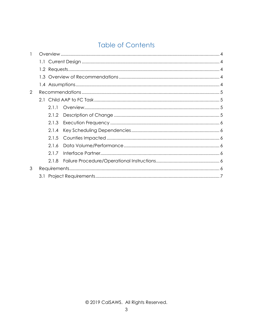# **Table of Contents**

| 1 |  |       |  |  |
|---|--|-------|--|--|
|   |  |       |  |  |
|   |  |       |  |  |
|   |  |       |  |  |
|   |  |       |  |  |
| 2 |  |       |  |  |
|   |  |       |  |  |
|   |  | 2.1.1 |  |  |
|   |  | 2.1.2 |  |  |
|   |  | 2.1.3 |  |  |
|   |  | 2.1.4 |  |  |
|   |  | 2.1.5 |  |  |
|   |  | 2.1.6 |  |  |
|   |  | 2.1.7 |  |  |
|   |  | 2.1.8 |  |  |
| 3 |  |       |  |  |
|   |  |       |  |  |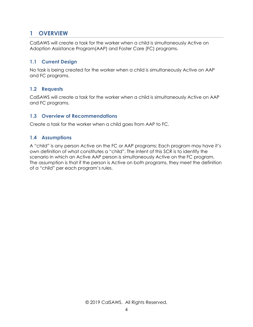## <span id="page-3-0"></span>**1 OVERVIEW**

CalSAWS will create a task for the worker when a child is simultaneously Active on Adoption Assistance Program(AAP) and Foster Care (FC) programs.

### <span id="page-3-1"></span>**1.1 Current Design**

No task is being created for the worker when a child is simultaneously Active on AAP and FC programs.

### <span id="page-3-2"></span>**1.2 Requests**

CalSAWS will create a task for the worker when a child is simultaneously Active on AAP and FC programs.

### <span id="page-3-3"></span>**1.3 Overview of Recommendations**

<span id="page-3-4"></span>Create a task for the worker when a child goes from AAP to FC.

### **1.4 Assumptions**

A "child" is any person Active on the FC or AAP programs; Each program may have it's own definition of what constitutes a "child". The intent of this SCR is to identify the scenario in which an Active AAP person is simultaneously Active on the FC program. The assumption is that if the person is Active on both programs, they meet the definition of a "child" per each program's rules.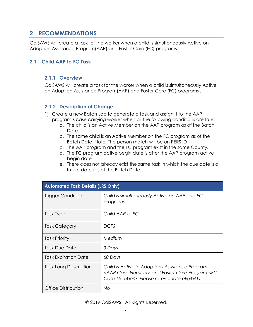## <span id="page-4-0"></span>**2 RECOMMENDATIONS**

CalSAWS will create a task for the worker when a child is simultaneously Active on Adoption Assistance Program(AAP) and Foster Care (FC) programs.

### <span id="page-4-2"></span><span id="page-4-1"></span>**2.1 Child AAP to FC Task**

### **2.1.1 Overview**

CalSAWS will create a task for the worker when a child is simultaneously Active on Adoption Assistance Program(AAP) and Foster Care (FC) programs .

### <span id="page-4-3"></span>**2.1.2 Description of Change**

- 1) Create a new Batch Job to generate a task and assign it to the AAP program's case carrying worker when all the following conditions are true:
	- a. The child is an Active Member on the AAP program as of the Batch Date
	- b. The same child is an Active Member on the FC program as of the Batch Date. Note: The person match will be on PERS.ID
	- c. The AAP program and the FC program exist in the same County.
	- d. The FC program active begin date is after the AAP program active begin date
	- e. There does not already exist the same task in which the due date is a future date (as of the Batch Date).

| <b>Automated Task Details (LRS Only)</b> |                                                                                                                                                                          |  |  |
|------------------------------------------|--------------------------------------------------------------------------------------------------------------------------------------------------------------------------|--|--|
| Trigger Condition                        | Child is simultaneously Active on AAP and FC<br>programs.                                                                                                                |  |  |
| Task Type                                | Child AAP to FC                                                                                                                                                          |  |  |
| Task Category                            | <b>DCFS</b>                                                                                                                                                              |  |  |
| <b>Task Priority</b>                     | Medium                                                                                                                                                                   |  |  |
| <b>Task Due Date</b>                     | 3 Days                                                                                                                                                                   |  |  |
| <b>Task Expiration Date</b>              | 60 Days                                                                                                                                                                  |  |  |
| Task Long Description                    | Child is Active in Adoptions Assistance Program<br><aap case="" number=""> and Foster Care Program <fc<br>Case Number&gt;. Please re-evaluate eligibility.</fc<br></aap> |  |  |
| Office Distribution                      | No.                                                                                                                                                                      |  |  |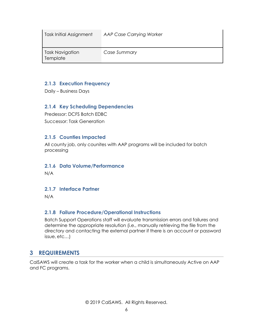| Task Initial Assignment     | <b>AAP Case Carrying Worker</b> |
|-----------------------------|---------------------------------|
| Task Navigation<br>Template | Case Summary                    |

### <span id="page-5-0"></span>**2.1.3 Execution Frequency**

<span id="page-5-1"></span>Daily – Business Days

### **2.1.4 Key Scheduling Dependencies**

Predessor: DCFS Batch EDBC Successor: Task Generation

### <span id="page-5-2"></span>**2.1.5 Counties Impacted**

All county job, only counites with AAP programs will be included for batch processing

### <span id="page-5-3"></span>**2.1.6 Data Volume/Performance**

<span id="page-5-4"></span>N/A

### **2.1.7 Interface Partner**

<span id="page-5-5"></span>N/A

### **2.1.8 Failure Procedure/Operational Instructions**

Batch Support Operations staff will evaluate transmission errors and failures and determine the appropriate resolution (i.e., manually retrieving the file from the directory and contacting the external partner if there is an account or password issue, etc…)

# <span id="page-5-6"></span>**3 REQUIREMENTS**

CalSAWS will create a task for the worker when a child is simultaneously Active on AAP and FC programs.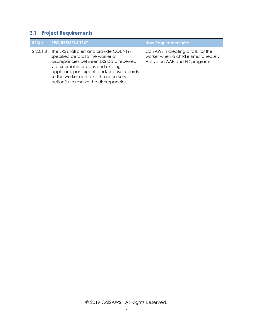# <span id="page-6-0"></span>**3.1 Project Requirements**

| REG#     | <b>REQUIREMENT TEXT</b>                                                                                                                                                                                                                                                                             | <b>How Requirement Met</b>                                                                                     |
|----------|-----------------------------------------------------------------------------------------------------------------------------------------------------------------------------------------------------------------------------------------------------------------------------------------------------|----------------------------------------------------------------------------------------------------------------|
| 2.20.1.8 | The LRS shall alert and provide COUNTY-<br>specified details to the worker of<br>discrepancies between LRS Data received<br>via external interfaces and existing<br>applicant, participant, and/or case records,<br>so the worker can take the necessary<br>action(s) to resolve the discrepancies. | Cals AWS is creating a task for the<br>worker when a child is simultaneously<br>Active on AAP and FC programs. |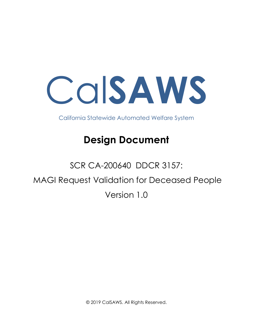Cal**SAWS**

California Statewide Automated Welfare System

# **Design Document**

# SCR CA-200640 DDCR 3157: MAGI Request Validation for Deceased People Version 1.0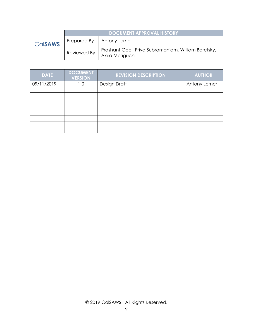|         |             | <b>DOCUMENT APPROVAL HISTORY</b>                                       |
|---------|-------------|------------------------------------------------------------------------|
| CalsAWS | Prepared By | Antony Lerner                                                          |
|         | Reviewed By | Prashant Goel, Priya Subramaniam, William Baretsky,<br>Akira Moriguchi |

| <b>DATE</b> | <b>DOCUMENT</b><br><b>VERSION</b> | <b>REVISION DESCRIPTION</b> | <b>AUTHOR</b> |
|-------------|-----------------------------------|-----------------------------|---------------|
| 09/11/2019  | 1.0                               | Design Draft                | Antony Lerner |
|             |                                   |                             |               |
|             |                                   |                             |               |
|             |                                   |                             |               |
|             |                                   |                             |               |
|             |                                   |                             |               |
|             |                                   |                             |               |
|             |                                   |                             |               |
|             |                                   |                             |               |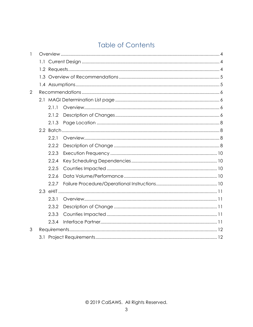# **Table of Contents**

| 1              |  |       |  |  |  |
|----------------|--|-------|--|--|--|
|                |  |       |  |  |  |
|                |  |       |  |  |  |
|                |  |       |  |  |  |
|                |  |       |  |  |  |
| $\overline{2}$ |  |       |  |  |  |
|                |  |       |  |  |  |
|                |  | 2.1.1 |  |  |  |
|                |  | 2.1.2 |  |  |  |
|                |  | 2.1.3 |  |  |  |
|                |  |       |  |  |  |
|                |  | 2.2.1 |  |  |  |
|                |  | 2.2.2 |  |  |  |
|                |  | 2.2.3 |  |  |  |
|                |  | 2.2.4 |  |  |  |
|                |  | 2.2.5 |  |  |  |
|                |  | 2.2.6 |  |  |  |
|                |  | 2.2.7 |  |  |  |
|                |  |       |  |  |  |
|                |  | 2.3.1 |  |  |  |
|                |  | 2.3.2 |  |  |  |
|                |  | 2.3.3 |  |  |  |
|                |  | 2.3.4 |  |  |  |
| 3              |  |       |  |  |  |
|                |  |       |  |  |  |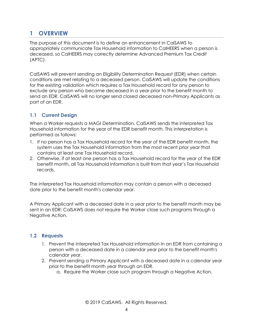# <span id="page-10-0"></span>**1 OVERVIEW**

The purpose of this document is to define an enhancement in CalSAWS to appropriately communicate Tax Household information to CalHEERS when a person is deceased, so CalHEERS may correctly determine Advanced Premium Tax Credit (APTC).

CalSAWS will prevent sending an Eligibility Determination Request (EDR) when certain conditions are met relating to a deceased person. CalSAWS will update the conditions for the existing validation which requires a Tax Household record for any person to exclude any person who became deceased in a year prior to the benefit month to send an EDR. CalSAWS will no longer send closed deceased non-Primary Applicants as part of an EDR.

### <span id="page-10-1"></span>**1.1 Current Design**

When a Worker requests a MAGI Determination, CalSAWS sends the interpreted Tax Household information for the year of the EDR benefit month. This interpretation is performed as follows:

- 1. If no person has a Tax Household record for the year of the EDR benefit month, the system uses the Tax Household information from the most recent prior year that contains at least one Tax Household record.
- 2. Otherwise, if at least one person has a Tax Household record for the year of the EDR benefit month, all Tax Household information is built from that year's Tax Household records.

The interpreted Tax Household information may contain a person with a deceased date prior to the benefit month's calendar year.

A Primary Applicant with a deceased date in a year prior to the benefit month may be sent in an EDR; CalSAWS does not require the Worker close such programs through a Negative Action.

### <span id="page-10-2"></span>**1.2 Requests**

- 1. Prevent the interpreted Tax Household information in an EDR from containing a person with a deceased date in a calendar year prior to the benefit month's calendar year.
- 2. Prevent sending a Primary Applicant with a deceased date in a calendar year prior to the benefit month year through an EDR.
	- a. Require the Worker close such program through a Negative Action.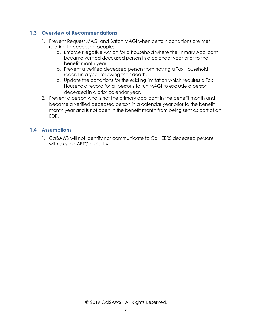### <span id="page-11-0"></span>**1.3 Overview of Recommendations**

- 1. Prevent Request MAGI and Batch MAGI when certain conditions are met relating to deceased people:
	- a. Enforce Negative Action for a household where the Primary Applicant became verified deceased person in a calendar year prior to the benefit month year.
	- b. Prevent a verified deceased person from having a Tax Household record in a year following their death.
	- c. Update the conditions for the existing limitation which requires a Tax Household record for all persons to run MAGI to exclude a person deceased in a prior calendar year.
- 2. Prevent a person who is not the primary applicant in the benefit month and became a verified deceased person in a calendar year prior to the benefit month year and is not open in the benefit month from being sent as part of an EDR.

### <span id="page-11-1"></span>**1.4 Assumptions**

1. CalSAWS will not identify nor communicate to CalHEERS deceased persons with existing APTC eligibility.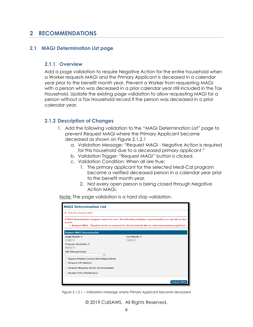## <span id="page-12-0"></span>**2 RECOMMENDATIONS**

### <span id="page-12-2"></span><span id="page-12-1"></span>**2.1 MAGI Determination List page**

### **2.1.1 Overview**

Add a page validation to require Negative Action for the entire household when a Worker requests MAGI and the Primary Applicant is deceased in a calendar year prior to the benefit month year. Prevent a Worker from requesting MAGI with a person who was deceased in a prior calendar year still included in the Tax Household. Update the existing page validation to allow requesting MAGI for a person without a Tax Household record if the person was deceased in a prior calendar year.

### <span id="page-12-3"></span>**2.1.2 Description of Changes**

- 1. Add the following validation to the "MAGI Determination List" page to prevent Request MAGI where the Primary Applicant became deceased as shown on Figure 2.1.2.1
	- a. Validation Message: "Request MAGI Negative Action is required for this household due to a deceased primary applicant."
	- b. Validation Trigger: "Request MAGI" button is clicked.
	- c. Validation Condition: When all are true:
		- 1. The primary applicant for the selected Medi-Cal program became a verified deceased person in a calendar year prior to the benefit month year.
		- 2. Not every open person is being closed through Negative Action MAGI.

Note: The page validation is a hard stop validation.

| <b>MAGI Determination List</b>                                                                                                                                                                                          |                     |  |
|-------------------------------------------------------------------------------------------------------------------------------------------------------------------------------------------------------------------------|---------------------|--|
| * Indicates required fields                                                                                                                                                                                             |                     |  |
| A MAGI Determination Request cannot be sent. The following minimum requirement(s) are not met in this<br>month:<br>• Request MAGI - Negative Action is required for this household due to a deceased primary applicant. |                     |  |
| <b>Request MAGI Determination</b>                                                                                                                                                                                       |                     |  |
| <b>Begin Month: *</b>                                                                                                                                                                                                   | Fnd Month: *        |  |
| $01/2020$ $\vee$                                                                                                                                                                                                        | $01/2020$ $\vee$    |  |
| <b>Program Identifier: *</b>                                                                                                                                                                                            |                     |  |
| Medi-Cal V                                                                                                                                                                                                              |                     |  |
| <b>Life Change Event:</b>                                                                                                                                                                                               |                     |  |
| $\check{ }$                                                                                                                                                                                                             |                     |  |
| <b>Bypass Primary Contact Matching Criteria</b>                                                                                                                                                                         |                     |  |
| <b>Request Lift Options</b>                                                                                                                                                                                             |                     |  |
| <b>Request Negative Action Determination</b>                                                                                                                                                                            |                     |  |
| <b>Restart VLP e-Verification</b>                                                                                                                                                                                       |                     |  |
|                                                                                                                                                                                                                         | <b>Request MAGI</b> |  |

*Figure 2.1.2.1 – Validation message where Primary Applicant became deceased*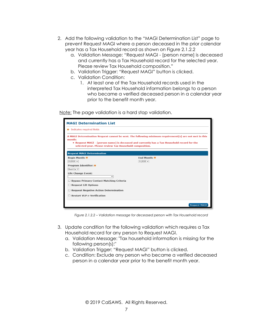- 2. Add the following validation to the "MAGI Determination List" page to prevent Request MAGI where a person deceased in the prior calendar year has a Tax Household record as shown on Figure 2.1.2.2
	- a. Validation Message: "Request MAGI [person name] is deceased and currently has a Tax Household record for the selected year. Please review Tax Household composition."
	- b. Validation Trigger: "Request MAGI" button is clicked.
	- c. Validation Condition:
		- 1. At least one of the Tax Household records used in the interpreted Tax Household information belongs to a person who became a verified deceased person in a calendar year prior to the benefit month year.

Note: The page validation is a hard stop validation.

| <b>MAGI Determination List</b>                                                                                                                                                                                                                                            |                                         |  |
|---------------------------------------------------------------------------------------------------------------------------------------------------------------------------------------------------------------------------------------------------------------------------|-----------------------------------------|--|
| * Indicates required fields                                                                                                                                                                                                                                               |                                         |  |
| A MAGI Determination Request cannot be sent. The following minimum requirement(s) are not met in this<br>month:<br>• Request MAGI - [person name] is deceased and currently has a Tax Household record for the<br>selected year. Please review Tax Household composition. |                                         |  |
| <b>Request MAGI Determination</b>                                                                                                                                                                                                                                         |                                         |  |
| <b>Begin Month: *</b><br>$01/2020$ $\vee$                                                                                                                                                                                                                                 | <b>End Month: *</b><br>$01/2020$ $\vee$ |  |
| <b>Program Identifier: *</b><br>Medi-Cal V                                                                                                                                                                                                                                |                                         |  |
| <b>Life Change Event:</b><br>✓                                                                                                                                                                                                                                            |                                         |  |
| <b>Bypass Primary Contact Matching Criteria</b><br><b>Request Lift Options</b>                                                                                                                                                                                            |                                         |  |
| <b>Request Negative Action Determination</b>                                                                                                                                                                                                                              |                                         |  |
| <b>Restart VLP e-Verification</b>                                                                                                                                                                                                                                         |                                         |  |
|                                                                                                                                                                                                                                                                           | <b>Request MAGI</b>                     |  |

*Figure 2.1.2.2 – Validation message for deceased person with Tax Household record*

- 3. Update condition for the following validation which requires a Tax Household record for any person to Request MAGI.
	- a. Validation Message: "Tax household information is missing for the following person(s):"
	- b. Validation Trigger: "Request MAGI" button is clicked.
	- c. Condition: Exclude any person who became a verified deceased person in a calendar year prior to the benefit month year.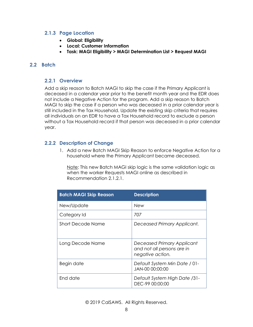### <span id="page-14-0"></span>**2.1.3 Page Location**

- **Global: Eligibility**
- **Local: Customer Information**
- **Task: MAGI Eligibility > MAGI Determination List > Request MAGI**

### <span id="page-14-2"></span><span id="page-14-1"></span>**2.2 Batch**

### **2.2.1 Overview**

Add a skip reason to Batch MAGI to skip the case if the Primary Applicant is deceased in a calendar year prior to the benefit month year and the EDR does not include a Negative Action for the program. Add a skip reason to Batch MAGI to skip the case if a person who was deceased in a prior calendar year is still included in the Tax Household. Update the existing skip criteria that requires all individuals on an EDR to have a Tax Household record to exclude a person without a Tax Household record if that person was deceased in a prior calendar year.

### <span id="page-14-3"></span>**2.2.2 Description of Change**

1. Add a new Batch MAGI Skip Reason to enforce Negative Action for a household where the Primary Applicant became deceased.

Note: This new Batch MAGI skip logic is the same validation logic as when the worker Requests MAGI online as described in Recommendation 2.1.2.1.

| <b>Batch MAGI Skip Reason</b> | <b>Description</b>                                                           |
|-------------------------------|------------------------------------------------------------------------------|
| New/Update                    | <b>New</b>                                                                   |
| Category Id                   | 707                                                                          |
| Short Decode Name             | Deceased Primary Applicant.                                                  |
| Long Decode Name              | Deceased Primary Applicant<br>and not all persons are in<br>negative action. |
| Begin date                    | Default System Min Date / 01-<br>JAN-00 00:00:00                             |
| End date                      | Default System High Date /31-<br>DEC-99 00:00:00                             |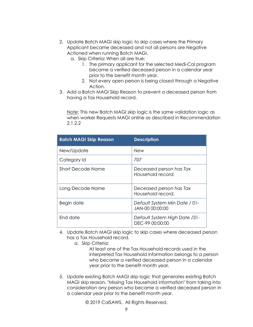- 2. Update Batch MAGI skip logic to skip cases where the Primary Applicant became deceased and not all persons are Negative Actioned when running Batch MAGI.
	- a. Skip Criteria**:** When all are true:
		- 1. The primary applicant for the selected Medi-Cal program became a verified deceased person in a calendar year prior to the benefit month year.
		- 2. Not every open person is being closed through a Negative Action.
- 3. Add a Batch MAGI Skip Reason to prevent a deceased person from having a Tax Household record.

Note: This new Batch MAGI skip logic is the same validation logic as when worker Requests MAGI online as described in Recommendation 2.1.2.2

| <b>Batch MAGI Skip Reason</b> | <b>Description</b>                               |
|-------------------------------|--------------------------------------------------|
| New/Update                    | <b>New</b>                                       |
| Category Id                   | 707                                              |
| Short Decode Name             | Deceased person has Tax<br>Household record.     |
| Long Decode Name              | Deceased person has Tax<br>Household record.     |
| Begin date                    | Default System Min Date / 01-<br>JAN-00 00:00:00 |
| End date                      | Default System High Date /31-<br>DEC-99 00:00:00 |

- 4. Update Batch MAGI skip logic to skip cases where deceased person has a Tax Household record.
	- a. Skip Criteria**:**

At least one of the Tax Household records used in the interpreted Tax Household information belongs to a person who became a verified deceased person in a calendar year prior to the benefit month year.

5. Update existing Batch MAGI skip logic that generates existing Batch MAGI skip reason, "Missing Tax Household information" from taking into consideration any person who became a verified deceased person in a calendar year prior to the benefit month year.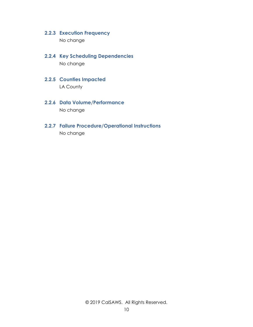### <span id="page-16-0"></span>**2.2.3 Execution Frequency**

No change

- <span id="page-16-1"></span>**2.2.4 Key Scheduling Dependencies** No change
- <span id="page-16-2"></span>**2.2.5 Counties Impacted** LA County
- <span id="page-16-3"></span>**2.2.6 Data Volume/Performance** No change
- <span id="page-16-4"></span>**2.2.7 Failure Procedure/Operational Instructions** No change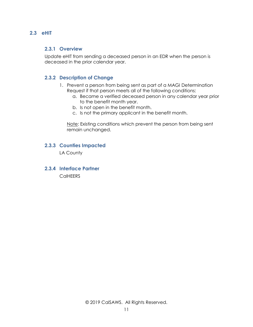### <span id="page-17-1"></span><span id="page-17-0"></span>**2.3 eHIT**

### **2.3.1 Overview**

Update eHIT from sending a deceased person in an EDR when the person is deceased in the prior calendar year.

### <span id="page-17-2"></span>**2.3.2 Description of Change**

- 1. Prevent a person from being sent as part of a MAGI Determination Request if that person meets all of the following conditions:
	- a. Became a verified deceased person in any calendar year prior to the benefit month year.
	- b. Is not open in the benefit month.
	- c. Is not the primary applicant in the benefit month.

Note: Existing conditions which prevent the person from being sent remain unchanged.

### <span id="page-17-3"></span>**2.3.3 Counties Impacted**

LA County

<span id="page-17-4"></span>**2.3.4 Interface Partner CalHEERS**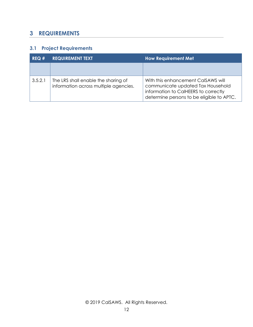# <span id="page-18-0"></span>**3 REQUIREMENTS**

# <span id="page-18-1"></span>**3.1 Project Requirements**

| REQ#    | <b>REQUIREMENT TEXT</b>                                                      | <b>How Requirement Met</b>                                                                                                                                   |  |  |
|---------|------------------------------------------------------------------------------|--------------------------------------------------------------------------------------------------------------------------------------------------------------|--|--|
|         |                                                                              |                                                                                                                                                              |  |  |
| 3.5.2.1 | The LRS shall enable the sharing of<br>information across multiple agencies. | With this enhancement CalSAWS will<br>communicate updated Tax Household<br>information to CalHEERS to correctly<br>determine persons to be eligible to APTC. |  |  |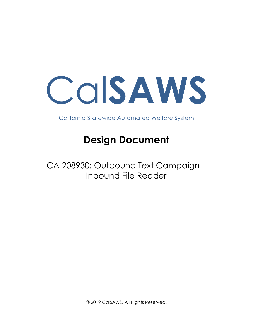Cal**SAWS**

California Statewide Automated Welfare System

# **Design Document**

CA-208930: Outbound Text Campaign – Inbound File Reader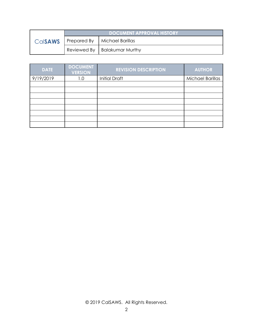|                | <b>DOCUMENT APPROVAL HISTORY</b> |                                |  |
|----------------|----------------------------------|--------------------------------|--|
| <b>Calsaws</b> |                                  | Prepared By   Michael Barillas |  |
|                |                                  | Reviewed By   Balakumar Murthy |  |

| <b>DATE</b> | <b>DOCUMENT</b><br><b>VERSION</b> | <b>REVISION DESCRIPTION</b> | <b>AUTHOR</b>           |
|-------------|-----------------------------------|-----------------------------|-------------------------|
| 9/19/2019   | 1.0                               | <b>Initial Draft</b>        | <b>Michael Barillas</b> |
|             |                                   |                             |                         |
|             |                                   |                             |                         |
|             |                                   |                             |                         |
|             |                                   |                             |                         |
|             |                                   |                             |                         |
|             |                                   |                             |                         |
|             |                                   |                             |                         |
|             |                                   |                             |                         |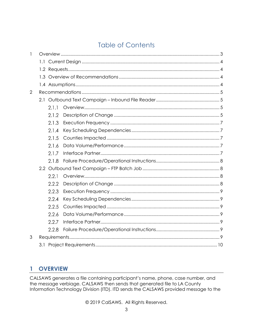# **Table of Contents**

| 1 |       |  |
|---|-------|--|
|   |       |  |
|   |       |  |
|   |       |  |
|   |       |  |
| 2 |       |  |
|   |       |  |
|   | 2.1.1 |  |
|   | 2.1.2 |  |
|   | 2.1.3 |  |
|   | 2.1.4 |  |
|   | 2.1.5 |  |
|   | 2.1.6 |  |
|   | 2.1.7 |  |
|   | 2.1.8 |  |
|   |       |  |
|   | 2.2.1 |  |
|   | 2.2.2 |  |
|   | 2.2.3 |  |
|   | 2.2.4 |  |
|   | 2.2.5 |  |
|   | 2.2.6 |  |
|   | 2.2.7 |  |
|   | 2.2.8 |  |
| 3 |       |  |
|   |       |  |

### <span id="page-21-0"></span>**OVERVIEW**  $\mathbf{1}$

CALSAWS generates a file containing participant's name, phone, case number, and the message verbiage. CALSAWS then sends that generated file to LA County Information Technology Division (ITD). ITD sends the CALSAWS provided message to the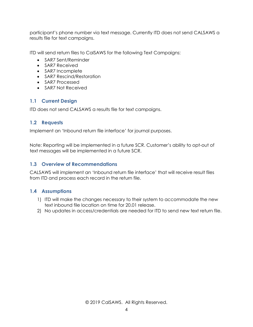participant's phone number via text message. Currently ITD does not send CALSAWS a results file for text campaigns.

ITD will send return files to CalSAWS for the following Text Campaigns:

- SAR7 Sent/Reminder
- SAR7 Received
- SAR7 Incomplete
- SAR7 Rescind/Restoration
- SAR7 Processed
- SAR7 Not Received

### <span id="page-22-0"></span>**1.1 Current Design**

ITD does not send CALSAWS a results file for text campaigns.

### <span id="page-22-1"></span>**1.2 Requests**

Implement an 'Inbound return file interface' for journal purposes.

Note: Reporting will be implemented in a future SCR. Customer's ability to opt-out of text messages will be implemented in a future SCR.

### <span id="page-22-2"></span>**1.3 Overview of Recommendations**

CALSAWS will implement an 'Inbound return file interface' that will receive result files from ITD and process each record in the return file.

### <span id="page-22-3"></span>**1.4 Assumptions**

- 1) ITD will make the changes necessary to their system to accommodate the new text inbound file location on time for 20.01 release.
- 2) No updates in access/credentials are needed for ITD to send new text return file.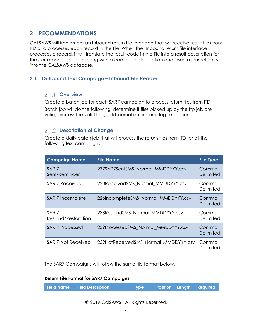# <span id="page-23-0"></span>**2 RECOMMENDATIONS**

CALSAWS will implement an Inbound return file interface that will receive result files from ITD and processes each record in the file. When the 'Inbound return file interface' processes a record, it will translate the result code in the file into a result description for the corresponding cases along with a campaign description and insert a journal entry into the CALSAWS database.

### <span id="page-23-2"></span><span id="page-23-1"></span>**2.1 Outbound Text Campaign – Inbound File Reader**

### 2.1.1 Overview

Create a batch job for each SAR7 campaign to process return files from ITD. Batch job will do the following; determine if files picked up by the ftp job are valid, process the valid files, add journal entries and log exceptions.

### <span id="page-23-3"></span>**Description of Change**

Create a daily batch job that will process the return files from ITD for all the following text campaigns:

| <b>Campaign Name</b>                    | <b>File Name</b>                     | <b>File Type</b>   |
|-----------------------------------------|--------------------------------------|--------------------|
| SAR <sub>7</sub><br>Sent/Reminder       | 237SAR7SentSMS Normal MMDDYYY.csv    | Comma<br>Delimited |
| SAR 7 Received                          | 220ReceivedSMS Normal MMDDYYY.csv    | Comma<br>Delimited |
| SAR 7 Incomplete                        | 226IncompleteSMS_Normal_MMDDYYY.csv  | Comma<br>Delimited |
| SAR <sub>7</sub><br>Rescind/Restoration | 238RescindSMS Normal MMDDYYY.csv     | Comma<br>Delimited |
| SAR 7 Processed                         | 239ProcessedSMS Normal MMDDYYY.csv   | Comma<br>Delimited |
| SAR 7 Not Received                      | 259NotReceivedSMS Normal MMDDYYY.csv | Comma<br>Delimited |

The SAR7 Campaigns will follow the same file format below.

### **Return File Format for SAR7 Campaigns**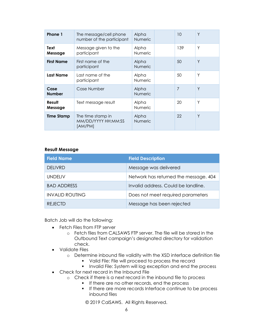| Phone 1               | The message/cell phone<br>number of the participant            | Alpha<br><b>Numeric</b> | 10  | Y |
|-----------------------|----------------------------------------------------------------|-------------------------|-----|---|
| Text<br>Message       | Message given to the<br>Alpha<br><b>Numeric</b><br>participant |                         | 139 | Υ |
| <b>First Name</b>     | First name of the<br>participant                               | Alpha<br><b>Numeric</b> | 50  | Y |
| Last Name             | Last name of the<br>participant                                | Alpha<br><b>Numeric</b> | 50  | Υ |
| Case<br><b>Number</b> | Case Number                                                    | Alpha<br><b>Numeric</b> | 7   | Y |
| Result<br>Message     | Text message result                                            | Alpha<br><b>Numeric</b> | 20  | Υ |
| <b>Time Stamp</b>     | The time stamp in<br>MM/DD/YYYY HH:MM:SS<br>[AM/PM]            | Alpha<br><b>Numeric</b> | 22  | Y |

### **Result Message**

| <b>Field Name</b>      | <b>Field Description</b>              |
|------------------------|---------------------------------------|
| <b>DELIVRD</b>         | Message was delivered                 |
| <b>UNDELIV</b>         | Network has returned the message. 404 |
| <b>BAD ADDRESS</b>     | Invalid address. Could be landline.   |
| <b>INVALID ROUTING</b> | Does not meet required parameters     |
| <b>REJECTD</b>         | Message has been rejected             |

Batch Job will do the following:

- Fetch Files from FTP server
	- o Fetch files from CALSAWS FTP server. The file will be stored in the Outbound Text campaign's designated directory for validation check.
- Validate Files
	- o Determine inbound file validity with the XSD interface definition file
		- **•** Valid File: File will proceed to process the record
		- **Invalid File: System will log exception and end the process**
- Check for next record in the Inbound File
	- o Check if there is a next record in the inbound file to process
		- If there are no other records, end the process
		- **If there are more records Interface continue to be process** inbound files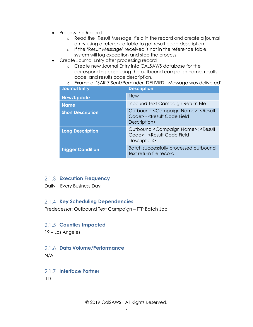- Process the Record
	- o Read the 'Result Message' field in the record and create a journal entry using a reference table to get result code description.
	- o If the 'Result Message' received is not in the reference table,
	- system will log exception and stop the process
- Create Journal Entry after processing record
	- o Create new Journal Entry into CALSAWS database for the corresponding case using the outbound campaign name, results code, and results code description.
	- o Example: 'SAR 7 Sent/Reminder: DELIVRD Message was delivered'

| <b>Journal Entry</b>     | <b>Description</b>                                                                                  |
|--------------------------|-----------------------------------------------------------------------------------------------------|
| <b>New/Update</b>        | <b>New</b>                                                                                          |
| <b>Name</b>              | Inbound Text Campaign Return File                                                                   |
| <b>Short Description</b> | Outbound < Campaign Name>: < Result<br>Code> - <result code="" field<br="">Description&gt;</result> |
| <b>Long Description</b>  | Outbound < Campaign Name>: < Result<br>Code> - <result code="" field<br="">Description&gt;</result> |
| <b>Trigger Condition</b> | Batch successfully processed outbound<br>text return file record                                    |

### <span id="page-25-0"></span>**Execution Frequency**

<span id="page-25-1"></span>Daily – Every Business Day

### **2.1.4 Key Scheduling Dependencies**

<span id="page-25-2"></span>Predecessor: Outbound Text Campaign – FTP Batch Job

### 2.1.5 Counties Impacted

<span id="page-25-3"></span>19 – Los Angeles

# **Data Volume/Performance**

<span id="page-25-4"></span>N/A

# 2.1.7 Interface Partner

ITD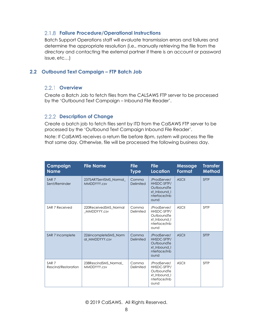### <span id="page-26-0"></span>**Failure Procedure/Operational Instructions**

Batch Support Operations staff will evaluate transmission errors and failures and determine the appropriate resolution (i.e., manually retrieving the file from the directory and contacting the external partner if there is an account or password issue, etc…)

### <span id="page-26-2"></span><span id="page-26-1"></span>**2.2 Outbound Text Campaign – FTP Batch Job**

### 2.2.1 **Overview**

Create a Batch Job to fetch files from the CALSAWS FTP server to be processed by the 'Outbound Text Campaign – Inbound File Reader'.

### <span id="page-26-3"></span>2.2.2 **Description of Change**

Create a batch job to fetch files sent by ITD from the CalSAWS FTP server to be processed by the 'Outbound Text Campaign Inbound File Reader'.

Note: If CalSAWS receives a return file before 8pm, system will process the file that same day. Otherwise, file will be processed the following business day.

| Campaign<br><b>Name</b>                 | <b>File Name</b>                        | <b>File</b><br><b>Type</b> | <b>File</b><br><b>Location</b>                                                    | <b>Message</b><br>Format | <b>Transfer</b><br><b>Method</b> |
|-----------------------------------------|-----------------------------------------|----------------------------|-----------------------------------------------------------------------------------|--------------------------|----------------------------------|
| SAR <sub>7</sub><br>Sent/Reminder       | 237SAR7SentSMS Normal<br>MMDDYYY.csv    | Comma<br>Delimited         | /ProdServer/<br>HHSDC-SFTP/<br>OutboundTe<br>xt Inbound I<br>nterface/Inb<br>ound | <b>ASCII</b>             | <b>SFTP</b>                      |
| SAR 7 Received                          | 220ReceivedSMS_Normal<br>MMDDYYY.csv    | Comma<br>Delimited         | /ProdServer/<br>HHSDC-SFTP/<br>OutboundTe<br>xt Inbound I<br>nterface/Inb<br>ound | <b>ASCII</b>             | <b>SFTP</b>                      |
| SAR 7 Incomplete                        | 226IncompleteSMS_Norm<br>al MMDDYYY.csv | Comma<br>Delimited         | /ProdServer/<br>HHSDC-SFTP/<br>OutboundTe<br>xt Inbound I<br>nterface/Inb<br>ound | <b>ASCII</b>             | <b>SFTP</b>                      |
| SAR <sub>7</sub><br>Rescind/Restoration | 238RescindSMS Normal<br>MMDDYYY.csv     | Comma<br>Delimited         | /ProdServer/<br>HHSDC-SFTP/<br>OutboundTe<br>xt_Inbound_I<br>nterface/Inb<br>ound | <b>ASCII</b>             | <b>SFTP</b>                      |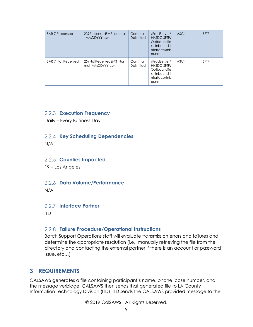| SAR 7 Processed    | 239ProcessedSMS Normal<br>MMDDYYY.csv    | Comma<br>Delimited | /ProdServer/<br>HHSDC-SFTP/<br>OutboundTe<br>xt Inbound I<br>nterface/Inb<br>ound | <b>ASCII</b> | <b>SFTP</b> |
|--------------------|------------------------------------------|--------------------|-----------------------------------------------------------------------------------|--------------|-------------|
| SAR 7 Not Received | 259NotReceivedSMS Nor<br>mal MMDDYYY.csv | Comma<br>Delimited | /ProdServer/<br>HHSDC-SFTP/<br>OutboundTe<br>xt Inbound I<br>nterface/Inb<br>ound | <b>ASCII</b> | <b>SFTP</b> |

### <span id="page-27-0"></span>**Execution Frequency**

<span id="page-27-1"></span>Daily – Every Business Day

### **2.2.4 Key Scheduling Dependencies**

<span id="page-27-2"></span>N/A

### 2.2.5 Counties Impacted

<span id="page-27-3"></span>19 – Los Angeles

### **Data Volume/Performance**

<span id="page-27-4"></span>N/A

### **Interface Partner**

<span id="page-27-5"></span>ITD

### **Failure Procedure/Operational Instructions**

Batch Support Operations staff will evaluate transmission errors and failures and determine the appropriate resolution (i.e., manually retrieving the file from the directory and contacting the external partner if there is an account or password issue, etc…)

# <span id="page-27-6"></span>**3 REQUIREMENTS**

CALSAWS generates a file containing participant's name, phone, case number, and the message verbiage. CALSAWS then sends that generated file to LA County Information Technology Division (ITD). ITD sends the CALSAWS provided message to the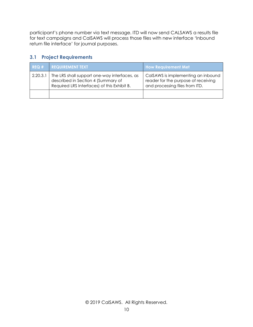participant's phone number via text message. ITD will now send CALSAWS a results file for text campaigns and CalSAWS will process those files with new interface 'Inbound return file interface' for journal purposes.

### <span id="page-28-0"></span>**3.1 Project Requirements**

| REG#     | <b>REQUIREMENT TEXT</b>                                                                                                           | <b>How Requirement Met</b>                                                                                  |
|----------|-----------------------------------------------------------------------------------------------------------------------------------|-------------------------------------------------------------------------------------------------------------|
| 2.20.3.1 | The LRS shall support one-way interfaces, as<br>described in Section 4 (Summary of<br>Required LRS Interfaces) of this Exhibit B. | CalSAWS is implementing an inbound<br>reader for the purpose of receiving<br>and processing files from ITD. |
|          |                                                                                                                                   |                                                                                                             |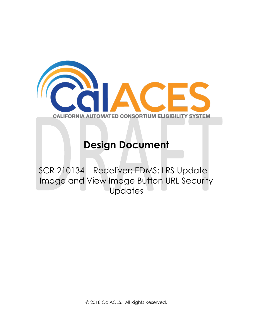

# **Design Document**

SCR 210134 – Redeliver: EDMS: LRS Update – Image and View Image Button URL Security Updates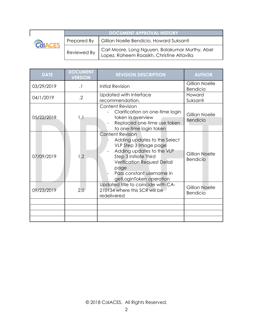| CALIFORNIA AUTOMATED CONSORTIUM ELISIBILITY SYSTEM |
|----------------------------------------------------|

**DOCUMENT APPROVAL HISTORY** Prepared By Gillian Noelle Bendicio, Howard Suksanti Reviewed By Carl Moore, Long Nguyen, Balakumar Murthy, Abel Lopez, Raheem Raasikh, Christine Altavilla

| <b>DATE</b> | <b>DOCUMENT</b><br><b>VERSION</b> | <b>REVISION DESCRIPTION</b>                                                                                                                                                                                                                  | <b>AUTHOR</b>                     |
|-------------|-----------------------------------|----------------------------------------------------------------------------------------------------------------------------------------------------------------------------------------------------------------------------------------------|-----------------------------------|
| 03/29/2019  | $\cdot$                           | <b>Initial Revision</b>                                                                                                                                                                                                                      | Gillian Noelle<br>Bendicio        |
| 04/1/2019   | $\cdot$ .2                        | Updated with Interface<br>recommendation.                                                                                                                                                                                                    | Howard<br>Suksanti                |
| 05/22/2019  | 1.1                               | <b>Content Revision</b><br>Clarification on one-time login<br>token in overview<br>Replaced one-time use token<br>to one-time login token                                                                                                    | Gillian Noelle<br><b>Bendicio</b> |
| 07/09/2019  | 1.2                               | <b>Content Revision</b><br>Adding updates to the Select<br>VLP Step 3 Image page<br>Adding updates to the VLP<br>Step 3 Initiate Third<br><b>Verification Request Detail</b><br>page<br>Pass constant username in<br>getLoginToken operation | Gillian Noelle<br><b>Bendicio</b> |
| 09/23/2019  | 2.0                               | Updated title to coincide with CA-<br>210134 where this SCR will be<br>redelivered                                                                                                                                                           | Gillian Noelle<br><b>Bendicio</b> |
|             |                                   |                                                                                                                                                                                                                                              |                                   |
|             |                                   |                                                                                                                                                                                                                                              |                                   |
|             |                                   |                                                                                                                                                                                                                                              |                                   |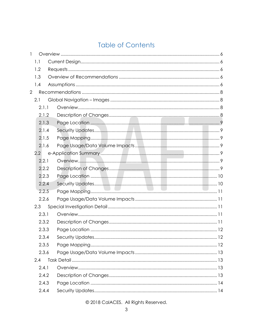# **Table of Contents**

| 1              |               |  |
|----------------|---------------|--|
|                | 1.1           |  |
|                | 1.2           |  |
|                | 1.3           |  |
|                | 1.4           |  |
| $\overline{2}$ |               |  |
|                | 2.1           |  |
|                | 2.1.1         |  |
|                | 2.1.2         |  |
|                | 2.1.3         |  |
|                | 2.1.4         |  |
|                | 2.1.5         |  |
|                | 2.1.6         |  |
|                | $2.2^{\circ}$ |  |
|                | 2.2.1         |  |
|                | 2.2.2         |  |
|                | 2.2.3         |  |
|                | 2.2.4         |  |
|                | 2.2.5         |  |
|                | 2.2.6         |  |
|                | 2.3           |  |
|                | 2.3.1         |  |
|                | 2.3.2         |  |
|                | 2.3.3         |  |
|                | 2.3.4         |  |
|                | 2.3.5         |  |
|                | 2.3.6         |  |
|                | 2.4           |  |
|                | 2.4.1         |  |
|                | 2.4.2         |  |
|                | 2.4.3         |  |
|                | 2.4.4         |  |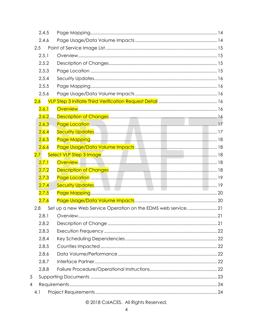|                  | 2.4.5 |  |
|------------------|-------|--|
|                  | 2.4.6 |  |
| 2.5              |       |  |
|                  | 2.5.1 |  |
|                  | 2.5.2 |  |
|                  | 2.5.3 |  |
|                  | 2.5.4 |  |
|                  | 2.5.5 |  |
|                  | 2.5.6 |  |
| 2.6              |       |  |
|                  | 2.6.1 |  |
|                  | 2.6.2 |  |
|                  | 2.6.3 |  |
|                  | 2.6.4 |  |
|                  | 2.6.5 |  |
|                  | 2.6.6 |  |
| 2.7 <sub>2</sub> |       |  |
|                  | 2.7.1 |  |
|                  | 2.7.2 |  |
|                  | 2.7.3 |  |
|                  | 2.7.4 |  |
|                  | 2.7.5 |  |
|                  | 2.7.6 |  |
| 2.8              |       |  |
|                  |       |  |
|                  | 2.8.2 |  |
|                  | 2.8.3 |  |
|                  | 2.8.4 |  |
|                  | 2.8.5 |  |
|                  | 2.8.6 |  |
|                  | 2.8.7 |  |
|                  | 2.8.8 |  |
| 3                |       |  |
| $\overline{4}$   |       |  |
| 4.1              |       |  |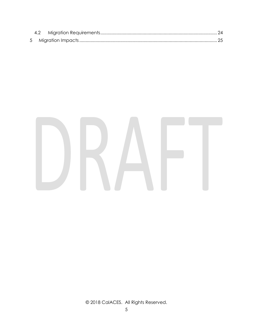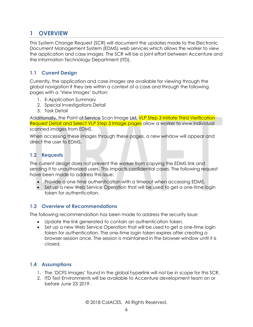# <span id="page-34-0"></span>**1 OVERVIEW**

This System Change Request (SCR) will document the updates made to the Electronic Document Management System (EDMS) web services which allows the worker to view the application and case images. The SCR will be a joint effort between Accenture and the Information Technology Department (ITD).

### <span id="page-34-1"></span>**1.1 Current Design**

Currently, the application and case images are available for viewing through the global navigation if they are within a context of a case and through the following pages with a 'View Images' button:

- 1. E-Application Summary
- 2. Special Investigations Detail
- 3. Task Detail

Additionally, the Point of Service Scan Image List, VLP Step 3 Initiate Third Verification Request Detail and Select VLP Step 3 Image pages allow a worker to view individual scanned images from EDMS.

When accessing these images through these pages, a new window will appear and direct the user to EDMS.

### <span id="page-34-2"></span>**1.2 Requests**

The current design does not prevent the worker from copying the EDMS link and sending it to unauthorized users. This impacts confidential cases. The following request have been made to address this issue:

- Provide a one-time authentication with a timeout when accessing EDMS.
- Set up a new Web Service Operation that will be used to get a one-time login token for authentication.

### <span id="page-34-3"></span>**1.3 Overview of Recommendations**

The following recommendation has been made to address the security issue:

- Update the link generated to contain an authentication token.
- Set up a new Web Service Operation that will be used to get a one-time login token for authentication. The one-time login token expires after creating a browser session once. The session is maintained in the browser window until it is closed.

### <span id="page-34-4"></span>**1.4 Assumptions**

- 1. The 'DCFS Images' found in the global hyperlink will not be in scope for this SCR.
- 2. ITD Test Environments will be available to Accenture development team on or before June 23, 2019.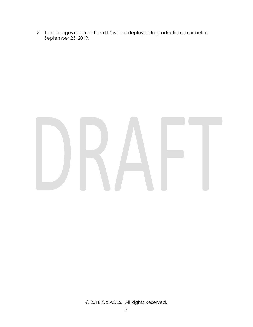3. The changes required from ITD will be deployed to production on or before September 23, 2019.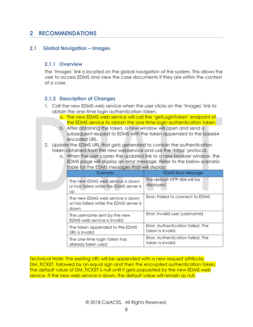## <span id="page-36-0"></span>**2 RECOMMENDATIONS**

### <span id="page-36-2"></span><span id="page-36-1"></span>**2.1 Global Navigation – Images**

### **2.1.1 Overview**

The 'Images' link is located on the global navigation of the system. This allows the user to access EDMS and view the case documents if they are within the context of a case.

### <span id="page-36-3"></span>**2.1.2 Description of Changes**

- 1. Call the new EDMS web service when the user clicks on the 'Images' link to obtain the one-time login authentication token.
	- a. The new EDMS web service will call the 'getLoginToken' endpoint of the EDMS service to obtain the one-time login authentication token.
	- b. After obtaining the token, a new window will open and send a subsequent request to EDMS with the token appended to the base64 encoded URL.
- 2. Update the EDMS URL that gets generated to contain the authentication token obtained from the new webservice and use the 'https' protocol.
	- a. When the user copies the updated link to a new browser window, the EDMS page will display an error message. Refer to the below scenario table for the EDMS messages that will display:

| Scenario                                                                           | <b>EDMS Error Message</b>                              |  |
|------------------------------------------------------------------------------------|--------------------------------------------------------|--|
| The new EDMS web service is down<br>or has failed while the EDMS server is<br>Up   | The default HTTP 404 will be<br>displayed.             |  |
| The new EDMS web service is down<br>or has failed while the EDMS server is<br>down | Error: Failed to connect to EDMS                       |  |
| The username sent by the new<br>EDMS web service is invalid                        | Error: Invalid user (username)                         |  |
| The token appended to the EDMS<br>URL is invalid                                   | Error: Authentication failed. The<br>token is invalid. |  |
| The one-time login token has<br>already been used                                  | Error: Authentication failed. The<br>token is invalid. |  |

Technical Note: The existing URL will be appended with a new request attribute, DM TICKET, followed by an equal sign and then the encrypted authentication token. The default value of DM\_TICKET is null until it gets populated by the new EDMS web service. If the new web service is down, the default value will remain as null.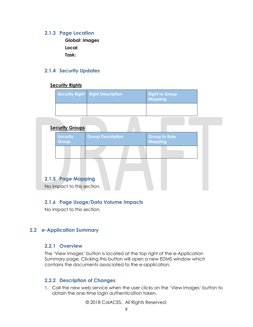### <span id="page-37-0"></span>**2.1.3 Page Location**

**Global: Images Local: Task:**

### <span id="page-37-1"></span>**2.1.4 Security Updates**

### **Security Rights**

| Security Right Right Description | Right to Group<br>Mapping |
|----------------------------------|---------------------------|
|                                  |                           |

| <b>Security Groups</b>     |                          |                                        |  |
|----------------------------|--------------------------|----------------------------------------|--|
| <b>Security</b><br>Group   | <b>Group Description</b> | <b>Group to Role</b><br><b>Mapping</b> |  |
|                            |                          |                                        |  |
|                            |                          |                                        |  |
| 2.1.5 Page Mapping         |                          |                                        |  |
| No impact to this section. |                          |                                        |  |

### <span id="page-37-3"></span><span id="page-37-2"></span>**2.1.6 Page Usage/Data Volume Impacts**

No impact to this section.

### <span id="page-37-5"></span><span id="page-37-4"></span>**2.2 e-Application Summary**

### **2.2.1 Overview**

The 'View Images' button is located at the top right of the e-Application Summary page. Clicking this button will open a new EDMS window which contains the documents associated to the e-application.

### <span id="page-37-6"></span>**2.2.2 Description of Changes**

1. Call the new web service when the user clicks on the 'View Images' button to obtain the one-time login authentication token.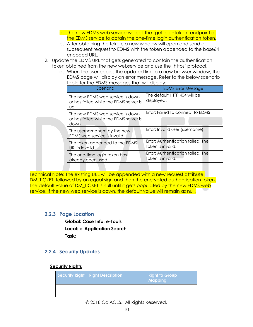- a. The new EDMS web service will call the 'getLoginToken' endpoint of the EDMS service to obtain the one-time login authentication token.
- b. After obtaining the token, a new window will open and send a subsequent request to EDMS with the token appended to the base64 encoded URL.
- 2. Update the EDMS URL that gets generated to contain the authentication token obtained from the new webservice and use the 'https' protocol.
	- a. When the user copies the updated link to a new browser window, the EDMS page will display an error message. Refer to the below scenario table for the EDMS messages that will display:

|  | Scenario                                                                           | <b>EDMS Error Message</b>                              |
|--|------------------------------------------------------------------------------------|--------------------------------------------------------|
|  | The new EDMS web service is down<br>or has failed while the EDMS server is<br>UD   | The default HTTP 404 will be<br>displayed.             |
|  | The new EDMS web service is down<br>or has failed while the EDMS server is<br>down | Error: Failed to connect to EDMS                       |
|  | The username sent by the new<br>EDMS web service is invalid                        | Error: Invalid user (username)                         |
|  | The token appended to the EDMS<br>URL is invalid                                   | Error: Authentication failed. The<br>token is invalid. |
|  | The one-time login token has<br>already been used                                  | Error: Authentication failed. The<br>token is invalid. |

Technical Note: The existing URL will be appended with a new request attribute, DM\_TICKET, followed by an equal sign and then the encrypted authentication token. The default value of DM\_TICKET is null until it gets populated by the new EDMS web service. If the new web service is down, the default value will remain as null.

### <span id="page-38-0"></span>**2.2.3 Page Location**

**Global: Case Info, e-Tools Local: e-Application Search Task:**

### <span id="page-38-1"></span>**2.2.4 Security Updates**

### **Security Rights**

| Security Right Right Description | <b>Right to Group</b><br>Mapping |
|----------------------------------|----------------------------------|
|                                  |                                  |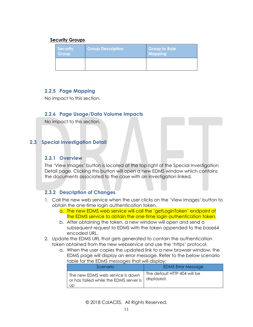### **Security Groups**

| Security<br>Group | <b>Group Description</b> | <b>Group to Role</b><br>Mapping |
|-------------------|--------------------------|---------------------------------|
|                   |                          |                                 |

### <span id="page-39-0"></span>**2.2.5 Page Mapping**

<span id="page-39-1"></span>No impact to this section.

### **2.2.6 Page Usage/Data Volume Impacts**

No impact to this section.

### <span id="page-39-3"></span><span id="page-39-2"></span>**2.3 Special Investigation Detail**

### **2.3.1 Overview**

The 'View Images' button is located at the top right of the Special Investigation Detail page. Clicking this button will open a new EDMS window which contains the documents associated to the case with an investigation linked.

### <span id="page-39-4"></span>**2.3.2 Description of Changes**

- 1. Call the new web service when the user clicks on the 'View Images' button to obtain the one-time login authentication token.
	- a. The new EDMS web service will call the 'getLoginToken' endpoint of the EDMS service to obtain the one-time login authentication token.
	- b. After obtaining the token, a new window will open and send a subsequent request to EDMS with the token appended to the base64 encoded URL.
- 2. Update the EDMS URL that gets generated to contain the authentication token obtained from the new webservice and use the 'https' protocol.
	- a. When the user copies the updated link to a new browser window, the EDMS page will display an error message. Refer to the below scenario table for the EDMS messages that will display:

| Scenario                                                                          | <b>EDMS Error Message</b>                  |
|-----------------------------------------------------------------------------------|--------------------------------------------|
| The new EDMS web service is down<br>or has failed while the EDMS server is<br>UD. | The default HTTP 404 will be<br>displayed. |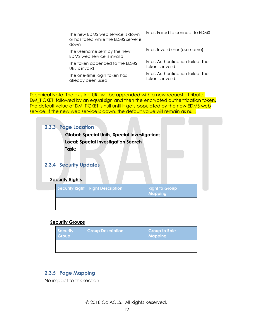| The new EDMS web service is down<br>or has failed while the EDMS server is<br>down | Error: Failed to connect to EDMS  |
|------------------------------------------------------------------------------------|-----------------------------------|
| The username sent by the new<br>EDMS web service is invalid                        | Error: Invalid user (username)    |
| The token appended to the EDMS                                                     | Error: Authentication failed. The |
| URL is invalid                                                                     | token is invalid.                 |
| The one-time login token has                                                       | Error: Authentication failed. The |
| already been used                                                                  | token is invalid.                 |

Technical Note: The existing URL will be appended with a new request attribute, DM\_TICKET, followed by an equal sign and then the encrypted authentication token. The default value of DM\_TICKET is null until it gets populated by the new EDMS web service. If the new web service is down, the default value will remain as null.

P.

<span id="page-40-1"></span><span id="page-40-0"></span>

| 2.3.3 Page Location<br>Task:                            | <b>Global: Special Units, Special Investigations</b><br><b>Local: Special Investigation Search</b> |                                         |  |
|---------------------------------------------------------|----------------------------------------------------------------------------------------------------|-----------------------------------------|--|
| <b>2.3.4 Security Updates</b><br><b>Security Rights</b> |                                                                                                    |                                         |  |
|                                                         | <b>Security Right   Right Description</b>                                                          | <b>Right to Group</b><br><b>Mapping</b> |  |
|                                                         |                                                                                                    |                                         |  |

### **Security Groups**

| Security<br>Group | <b>Group Description</b> | <b>Group to Role</b><br><b>Mapping</b> |
|-------------------|--------------------------|----------------------------------------|
|                   |                          |                                        |

### <span id="page-40-2"></span>**2.3.5 Page Mapping**

No impact to this section.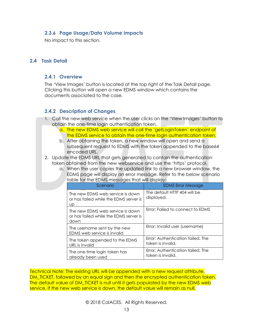### <span id="page-41-0"></span>**2.3.6 Page Usage/Data Volume Impacts**

No impact to this section.

### <span id="page-41-2"></span><span id="page-41-1"></span>**2.4 Task Detail**

### **2.4.1 Overview**

The 'View Images' button is located at the top right of the Task Detail page. Clicking this button will open a new EDMS window which contains the documents associated to the case.

### <span id="page-41-3"></span>**2.4.2 Description of Changes**

- 1. Call the new web service when the user clicks on the 'View Images' button to obtain the one-time login authentication token.
	- a. The new EDMS web service will call the 'getLoginToken' endpoint of the EDMS service to obtain the one-time login authentication token.
	- b. After obtaining the token, a new window will open and send a subsequent request to EDMS with the token appended to the base64 encoded URL.
- 2. Update the EDMS URL that gets generated to contain the authentication token obtained from the new webservice and use the 'https' protocol.
	- a. When the user copies the updated link to a new browser window, the EDMS page will display an error message. Refer to the below scenario table for the EDMS messages that will display:

| Scenario                                                                           | <b>EDMS Error Message</b>                              |
|------------------------------------------------------------------------------------|--------------------------------------------------------|
| The new EDMS web service is down<br>or has failed while the EDMS server is<br>UD   | The default HTTP 404 will be<br>displayed.             |
| The new EDMS web service is down<br>or has failed while the EDMS server is<br>down | Error: Failed to connect to EDMS                       |
| The username sent by the new<br>EDMS web service is invalid                        | Error: Invalid user (username)                         |
| The token appended to the EDMS<br>URL is invalid                                   | Error: Authentication failed. The<br>token is invalid. |
| The one-time login token has<br>already been used                                  | Error: Authentication failed. The<br>token is invalid. |

Technical Note: The existing URL will be appended with a new request attribute, DM\_TICKET, followed by an equal sign and then the encrypted authentication token. The default value of DM\_TICKET is null until it gets populated by the new EDMS web service. If the new web service is down, the default value will remain as null.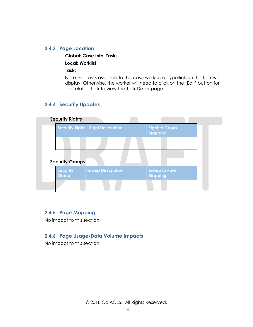### <span id="page-42-0"></span>**2.4.3 Page Location**

**Global: Case Info, Tasks**

**Local: Worklist**

**Task:**

Note: For tasks assigned to the case worker, a hyperlink on the task will display. Otherwise, the worker will need to click on the 'Edit' button for the related task to view the Task Detail page.

### <span id="page-42-1"></span>**2.4.4 Security Updates**

| <b>Security Rights</b>   |                                           |                                         |  |
|--------------------------|-------------------------------------------|-----------------------------------------|--|
|                          | <b>Security Right   Right Description</b> | <b>Right to Group</b><br><b>Mapping</b> |  |
|                          |                                           |                                         |  |
| <b>Security Groups</b>   |                                           |                                         |  |
| <b>Security</b><br>Group | <b>Group Description</b>                  | <b>Group to Role</b><br><b>Mapping</b>  |  |
|                          |                                           |                                         |  |

### <span id="page-42-2"></span>**2.4.5 Page Mapping**

<span id="page-42-3"></span>No impact to this section.

### **2.4.6 Page Usage/Data Volume Impacts**

No impact to this section.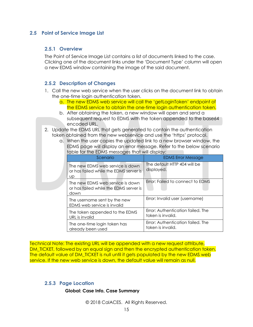### <span id="page-43-1"></span><span id="page-43-0"></span>**2.5 Point of Service Image List**

### **2.5.1 Overview**

The Point of Service Image List contains a list of documents linked to the case. Clicking one of the document links under the 'Document Type' column will open a new EDMS window containing the image of the said document.

### <span id="page-43-2"></span>**2.5.2 Description of Changes**

- 1. Call the new web service when the user clicks on the document link to obtain the one-time login authentication token.
	- a. The new EDMS web service will call the 'getLoginToken' endpoint of the EDMS service to obtain the one-time login authentication token.
	- b. After obtaining the token, a new window will open and send a subsequent request to EDMS with the token appended to the base64 encoded URL.
- 2. Update the EDMS URL that gets generated to contain the authentication token obtained from the new webservice and use the 'https' protocol.

| a. When the user copies the updated link to a new prowser window, the<br>EDMS page will display an error message. Refer to the below scenario<br>table for the EDMS messages that will display: |                                            |  |  |
|-------------------------------------------------------------------------------------------------------------------------------------------------------------------------------------------------|--------------------------------------------|--|--|
| Scenario                                                                                                                                                                                        | <b>EDMS Error Message</b>                  |  |  |
| The new EDMS web service is down<br>or has failed while the EDMS server is<br>UD.                                                                                                               | The default HTTP 404 will be<br>displayed. |  |  |
| The new EDMS web service is down                                                                                                                                                                | Error: Failed to connect to EDMS           |  |  |

Error: Invalid user (username)

token is invalid.

token is invalid.

Error: Authentication failed. The

Error: Authentication failed. The

a. When the user copies the updated link to a new browser window, the

| <u>Technical Note: The existing URL will be appended with a new request attribute, </u>  |
|------------------------------------------------------------------------------------------|
| <u>DM_TICKET, followed by an equal sign and then the encrypted authentication token.</u> |
| The default value of DM_TICKET is null until it gets populated by the new EDMS web       |
| service. If the new web service is down, the default value will remain as null.          |

### <span id="page-43-3"></span>**2.5.3 Page Location**

down

URL is invalid

already been used

### **Global: Case Info, Case Summary**

or has failed while the EDMS server is

The username sent by the new EDMS web service is invalid

The one-time login token has

The token appended to the EDMS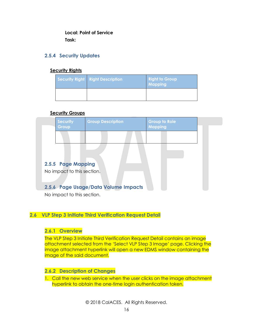**Local: Point of Service Task:**

### <span id="page-44-0"></span>**2.5.4 Security Updates**

### **Security Rights**

| Security Right   Right Description | <b>Right to Group</b><br>Mapping |
|------------------------------------|----------------------------------|
|                                    |                                  |

### **Security Groups**

<span id="page-44-1"></span>

| <b>Security</b><br>Group   | <b>Group Description</b>             | <b>Group to Role</b><br><b>Mapping</b> |  |
|----------------------------|--------------------------------------|----------------------------------------|--|
|                            |                                      |                                        |  |
|                            |                                      |                                        |  |
| 2.5.5 Page Mapping         |                                      |                                        |  |
| No impact to this section. |                                      |                                        |  |
|                            | 2.5.6 Page Usage/Data Volume Impacts |                                        |  |

<span id="page-44-2"></span>No impact to this section.

### <span id="page-44-4"></span><span id="page-44-3"></span>**2.6 VLP Step 3 Initiate Third Verification Request Detail**

### **2.6.1 Overview**

The VLP Step 3 Initiate Third Verification Request Detail contains an image attachment selected from the 'Select VLP Step 3 Image' page. Clicking the image attachment hyperlink will open a new EDMS window containing the image of the said document.

### <span id="page-44-5"></span>**2.6.2 Description of Changes**

1. Call the new web service when the user clicks on the image attachment hyperlink to obtain the one-time login authentication token.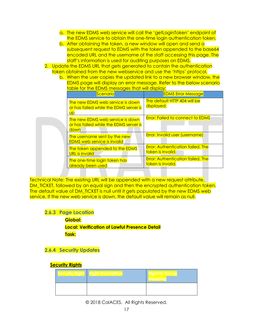- a. The new EDMS web service will call the 'getLoginToken' endpoint of the EDMS service to obtain the one-time login authentication token.
- b. After obtaining the token, a new window will open and send a subsequent request to EDMS with the token appended to the base64 encoded URL and the username of the staff accessing this page. The staff's information is used for auditing purposes on EDMS.
- 2. Update the EDMS URL that gets generated to contain the authentication token obtained from the new webservice and use the 'https' protocol.
	- b. When the user copies the updated link to a new browser window, the EDMS page will display an error message. Refer to the below scenario table for the EDMS messages that will display:

| Scenario                                                                                | <b>EDMS Error Message</b>                                     |
|-----------------------------------------------------------------------------------------|---------------------------------------------------------------|
| The new EDMS web service is down<br>or has failed while the EDMS server is<br><b>UD</b> | The default HTTP 404 will be<br>displayed.                    |
| The new EDMS web service is down<br>or has failed while the EDMS server is<br>down      | <b>Error: Failed to connect to EDMS</b>                       |
| The username sent by the new<br><b>EDMS web service is invalid</b>                      | Error: Invalid user (username)                                |
| The token appended to the EDMS<br>URL is invalid                                        | <b>Error: Authentication failed. The</b><br>token is invalid. |
| The one-time login token has<br>already been used                                       | <b>Error: Authentication failed. The</b><br>token is invalid. |

Technical Note: The existing URL will be appended with a new request attribute, DM TICKET, followed by an equal sign and then the encrypted authentication token. The default value of DM\_TICKET is null until it gets populated by the new EDMS web service. If the new web service is down, the default value will remain as null.

### <span id="page-45-0"></span>**2.6.3 Page Location**

**Global: Local: Verification of Lawful Presence Detail Task:**

### <span id="page-45-1"></span>**2.6.4 Security Updates**

### **Security Rights**

| <b>Security Right Right Description</b> | <b>Right to Group</b> |
|-----------------------------------------|-----------------------|
|                                         |                       |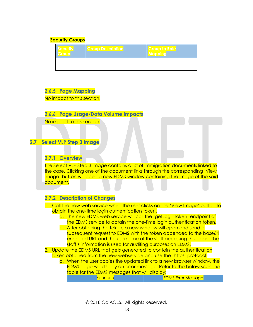### **Security Groups**

| Security | <b>Group Description</b> | Group to Role |
|----------|--------------------------|---------------|
|          |                          |               |

### <span id="page-46-0"></span>**2.6.5 Page Mapping**

<span id="page-46-1"></span>No impact to this section.

### **2.6.6 Page Usage/Data Volume Impacts**

No impact to this section.

### <span id="page-46-3"></span><span id="page-46-2"></span>**2.7 Select VLP Step 3 Image**

### **2.7.1 Overview**

The Select VLP Step 3 Image contains a list of immigration documents linked to the case. Clicking one of the document links through the corresponding 'View Image' button will open a new EDMS window containing the image of the said document.

### <span id="page-46-4"></span>**2.7.2 Description of Changes**

- 1. Call the new web service when the user clicks on the 'View Image' button to obtain the one-time login authentication token.
	- a. The new EDMS web service will call the 'getLoginToken' endpoint of the EDMS service to obtain the one-time login authentication token.
	- b. After obtaining the token, a new window will open and send a subsequent request to EDMS with the token appended to the base64 encoded URL and the username of the staff accessing this page. The staff's information is used for auditing purposes on EDMS.
- 2. Update the EDMS URL that gets generated to contain the authentication token obtained from the new webservice and use the 'https' protocol.
	- c. When the user copies the updated link to a new browser window, the EDMS page will display an error message. Refer to the below scenario table for the EDMS messages that will display:

| <u>enario</u><br>NG. | <u>DMS Error Message</u> |
|----------------------|--------------------------|
|                      |                          |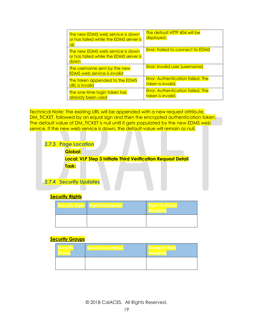| The new EDMS web service is down<br>or has failed while the EDMS server is<br>Up   | The default HTTP 404 will be<br>displayed.                    |
|------------------------------------------------------------------------------------|---------------------------------------------------------------|
| The new EDMS web service is down<br>or has failed while the EDMS server is<br>down | <b>Error: Failed to connect to EDMS</b>                       |
| The username sent by the new<br><b>EDMS</b> web service is invalid                 | <b>Error: Invalid user (username)</b>                         |
| The token appended to the EDMS<br>URL is invalid                                   | <b>Error: Authentication failed. The</b><br>token is invalid. |
| The one-time login token has<br>already been used                                  | <b>Error: Authentication failed. The</b><br>token is invalid. |

Technical Note: The existing URL will be appended with a new request attribute, DM\_TICKET, followed by an equal sign and then the encrypted authentication token. The default value of DM\_TICKET is null until it gets populated by the new EDMS web service. If the new web service is down, the default value will remain as null.

<span id="page-47-0"></span>

### <span id="page-47-1"></span>**Security Rights**

| <b>Security Right Right Description</b> | ight to Group<br><b>ANdppine</b> |
|-----------------------------------------|----------------------------------|
|                                         |                                  |

### **Security Groups**

| <b>Security</b> | <b>Group Description</b> | <b>Group to Role</b> |
|-----------------|--------------------------|----------------------|
|                 |                          |                      |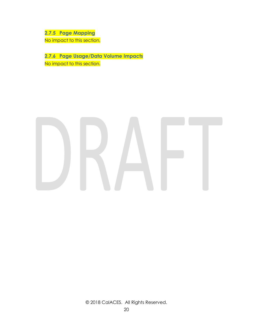<span id="page-48-0"></span>**2.7.5 Page Mapping** No impact to this section.

<span id="page-48-1"></span>**2.7.6 Page Usage/Data Volume Impacts** No impact to this section.

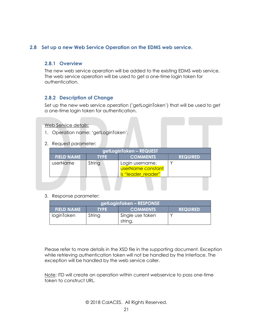### <span id="page-49-1"></span><span id="page-49-0"></span>**2.8 Set up a new Web Service Operation on the EDMS web service.**

### **2.8.1 Overview**

The new web service operation will be added to the existing EDMS web service. The web service operation will be used to get a one-time login token for authentication.

### <span id="page-49-2"></span>**2.8.2 Description of Change**

Set up the new web service operation ('getLoginToken') that will be used to get a one-time login token for authentication.

Web Service details:

- 1. Operation name: 'getLoginToken'.
- 2. Request parameter:

| getLoginToken – REQUEST                                                |        |                                                                   |  |  |  |
|------------------------------------------------------------------------|--------|-------------------------------------------------------------------|--|--|--|
| <b>COMMENTS</b><br><b>FIELD NAME</b><br><b>REQUIRED</b><br><b>TYPE</b> |        |                                                                   |  |  |  |
| userName                                                               | String | Login username.<br><b>UserName constant</b><br>is "leader reader" |  |  |  |
|                                                                        |        |                                                                   |  |  |  |

3. Response parameter:

| getLoginToken – RESPONSE                                               |        |                             |  |  |  |
|------------------------------------------------------------------------|--------|-----------------------------|--|--|--|
| <b>COMMENTS</b><br><b>FIELD NAME</b><br><b>REQUIRED</b><br><b>TYPE</b> |        |                             |  |  |  |
| loginToken                                                             | String | Single use token<br>string. |  |  |  |

Please refer to more details in the XSD file in the supporting document. Exception while retrieving authentication token will not be handled by the Interface. The exception will be handled by the web service caller.

Note: ITD will create an operation within current webservice to pass one-time token to construct URL.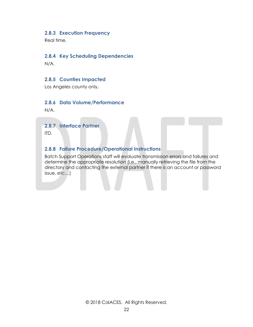### <span id="page-50-0"></span>**2.8.3 Execution Frequency**

<span id="page-50-1"></span>Real time.

### **2.8.4 Key Scheduling Dependencies**

<span id="page-50-2"></span>N/A.

### **2.8.5 Counties Impacted**

<span id="page-50-3"></span>Los Angeles county only.

### **2.8.6 Data Volume/Performance**

<span id="page-50-4"></span>N/A.

### **2.8.7 Interface Partner**

<span id="page-50-5"></span>ITD.

### **2.8.8 Failure Procedure/Operational Instructions**

Batch Support Operations staff will evaluate transmission errors and failures and determine the appropriate resolution (i.e., manually retrieving the file from the directory and contacting the external partner if there is an account or password issue, etc…)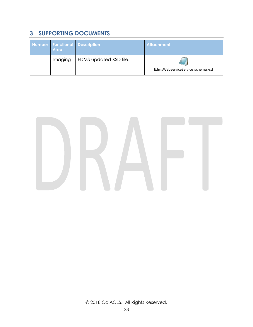# <span id="page-51-0"></span>**3 SUPPORTING DOCUMENTS**

| <b>Area</b> | Number Functional Description | <b>Attachment</b>                |
|-------------|-------------------------------|----------------------------------|
| Imaging     | EDMS updated XSD file.        | EdmsWebserviceService schema.xsd |

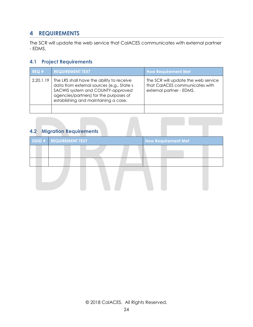# <span id="page-52-0"></span>**4 REQUIREMENTS**

The SCR will update the web service that CalACES communicates with external partner - EDMS.

### <span id="page-52-1"></span>**4.1 Project Requirements**

| REQ#      | <b>REQUIREMENT TEXT</b>                                                                                                                                                                                       | <b>How Requirement Met</b>                                                                        |
|-----------|---------------------------------------------------------------------------------------------------------------------------------------------------------------------------------------------------------------|---------------------------------------------------------------------------------------------------|
| 2.20.1.19 | The LRS shall have the ability to receive<br>data from external sources (e.g., State s<br>SACWIS system and COUNTY-approved<br>agencies/partners) for the purposes of<br>establishing and maintaining a case. | The SCR will update the web service<br>that CalACES communicates with<br>external partner - EDMS. |
|           |                                                                                                                                                                                                               |                                                                                                   |

# <span id="page-52-2"></span>**4.2 Migration Requirements**

| DDID # REQUIREMENT TEXT | <b>How Requirement Met</b> |
|-------------------------|----------------------------|
|                         |                            |
|                         |                            |
|                         |                            |
|                         |                            |